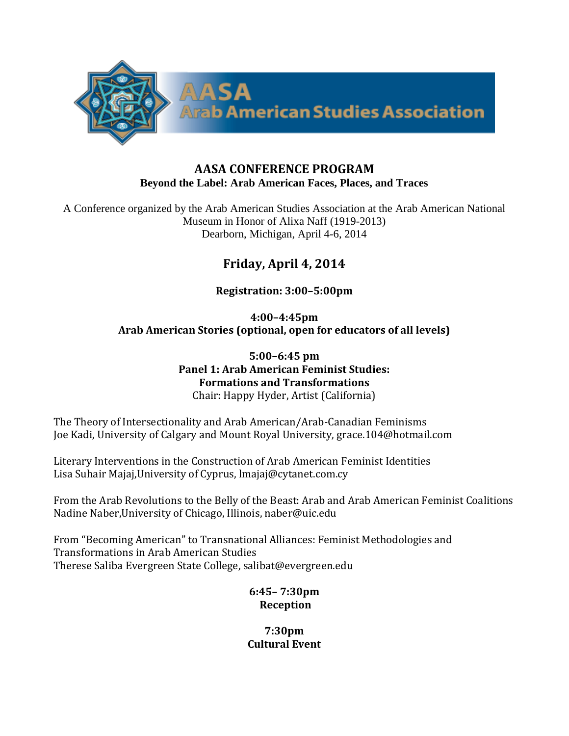

### **AASA CONFERENCE PROGRAM Beyond the Label: Arab American Faces, Places, and Traces**

A Conference organized by the Arab American Studies Association at the Arab American National Museum in Honor of Alixa Naff (1919-2013) Dearborn, Michigan, April 4-6, 2014

# **Friday, April 4, 2014**

## **Registration: 3:00–5:00pm**

**4:00–4:45pm Arab American Stories (optional, open for educators of all levels)**

> **5:00–6:45 pm Panel 1: Arab American Feminist Studies: Formations and Transformations** Chair: Happy Hyder, Artist (California)

The Theory of Intersectionality and Arab American/Arab-Canadian Feminisms Joe Kadi, University of Calgary and Mount Royal University, grace.104@hotmail.com

Literary Interventions in the Construction of Arab American Feminist Identities Lisa Suhair Majaj,University of Cyprus, lmajaj@cytanet.com.cy

From the Arab Revolutions to the Belly of the Beast: Arab and Arab American Feminist Coalitions Nadine Naber,University of Chicago, Illinois, naber@uic.edu

From "Becoming American" to Transnational Alliances: Feminist Methodologies and Transformations in Arab American Studies Therese Saliba Evergreen State College, salibat@evergreen.edu

> **6:45– 7:30pm Reception**

**7:30pm Cultural Event**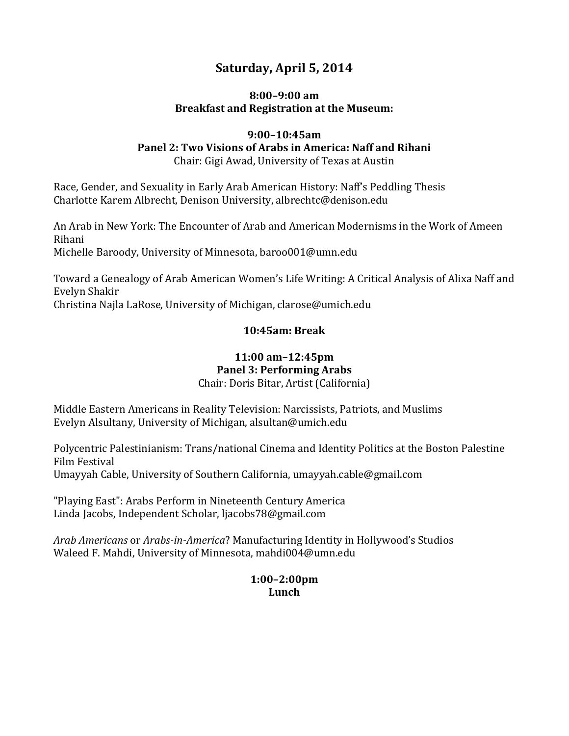# **Saturday, April 5, 2014**

### **8:00–9:00 am Breakfast and Registration at the Museum:**

## **9:00–10:45am Panel 2: Two Visions of Arabs in America: Naff and Rihani**

Chair: Gigi Awad, University of Texas at Austin

Race, Gender, and Sexuality in Early Arab American History: Naff's Peddling Thesis Charlotte Karem Albrecht, Denison University, albrechtc@denison.edu

An Arab in New York: The Encounter of Arab and American Modernisms in the Work of Ameen Rihani Michelle Baroody, University of Minnesota, baroo001@umn.edu

Toward a Genealogy of Arab American Women's Life Writing: A Critical Analysis of Alixa Naff and Evelyn Shakir

Christina Najla LaRose, University of Michigan, clarose@umich.edu

### **10:45am: Break**

## **11:00 am–12:45pm Panel 3: Performing Arabs**

Chair: Doris Bitar, Artist (California)

Middle Eastern Americans in Reality Television: Narcissists, Patriots, and Muslims Evelyn Alsultany, University of Michigan, alsultan@umich.edu

Polycentric Palestinianism: Trans/national Cinema and Identity Politics at the Boston Palestine Film Festival Umayyah Cable, University of Southern California, umayyah.cable@gmail.com

"Playing East": Arabs Perform in Nineteenth Century America Linda Jacobs, Independent Scholar, ljacobs78@gmail.com

*Arab Americans* or *Arabs-in-America*? Manufacturing Identity in Hollywood's Studios Waleed F. Mahdi, University of Minnesota, mahdi004@umn.edu

### **1:00–2:00pm Lunch**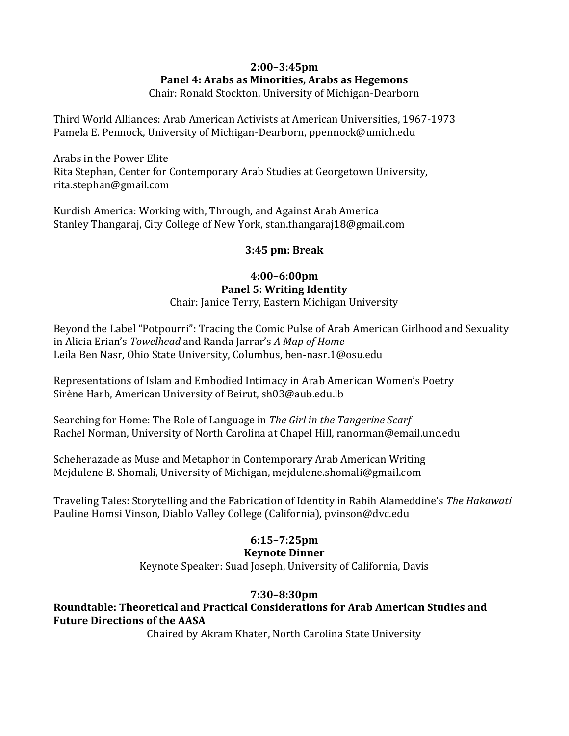# **2:00–3:45pm Panel 4: Arabs as Minorities, Arabs as Hegemons**

Chair: Ronald Stockton, University of Michigan-Dearborn

Third World Alliances: Arab American Activists at American Universities, 1967-1973 Pamela E. Pennock, University of Michigan-Dearborn, ppennock@umich.edu

Arabs in the Power Elite Rita Stephan, Center for Contemporary Arab Studies at Georgetown University, rita.stephan@gmail.com

Kurdish America: Working with, Through, and Against Arab America Stanley Thangaraj, City College of New York, stan.thangaraj18@gmail.com

### **3:45 pm: Break**

### **4:00–6:00pm Panel 5: Writing Identity**  Chair: Janice Terry, Eastern Michigan University

Beyond the Label "Potpourri": Tracing the Comic Pulse of Arab American Girlhood and Sexuality in Alicia Erian's *Towelhead* and Randa Jarrar's *A Map of Home* Leila Ben Nasr, Ohio State University, Columbus, ben-nasr.1@osu.edu

Representations of Islam and Embodied Intimacy in Arab American Women's Poetry Sirène Harb, American University of Beirut, sh03@aub.edu.lb

Searching for Home: The Role of Language in *The Girl in the Tangerine Scarf* Rachel Norman, University of North Carolina at Chapel Hill, ranorman@email.unc.edu

Scheherazade as Muse and Metaphor in Contemporary Arab American Writing Mejdulene B. Shomali, University of Michigan, mejdulene.shomali@gmail.com

Traveling Tales: Storytelling and the Fabrication of Identity in Rabih Alameddine's *The Hakawati* Pauline Homsi Vinson, Diablo Valley College (California), pvinson@dvc.edu

# **6:15–7:25pm**

### **Keynote Dinner**

Keynote Speaker: Suad Joseph, University of California, Davis

## **7:30–8:30pm**

### **Roundtable: Theoretical and Practical Considerations for Arab American Studies and Future Directions of the AASA**

Chaired by Akram Khater, North Carolina State University